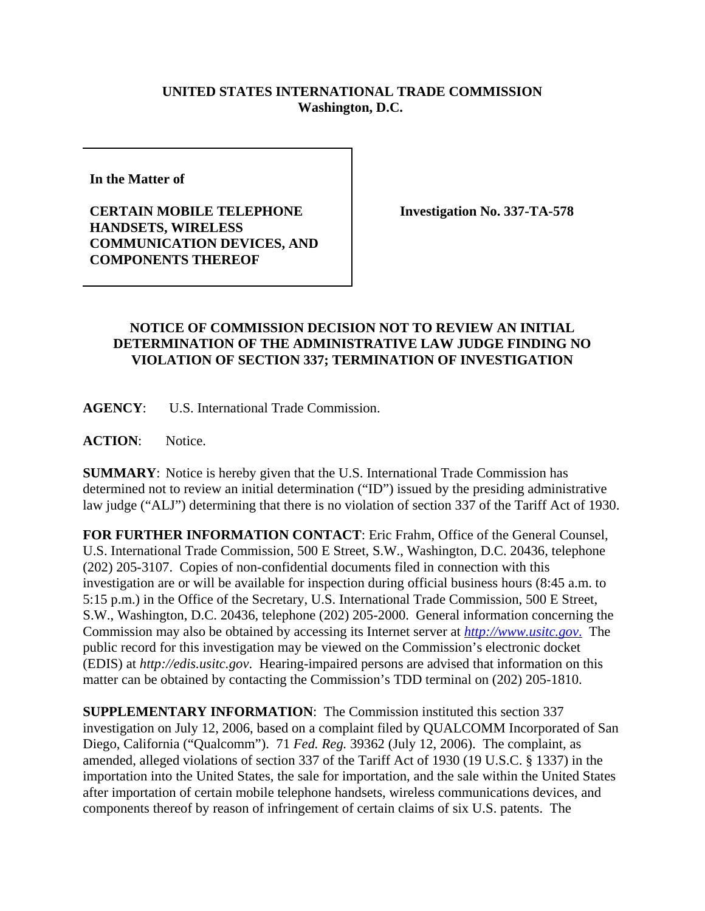## **UNITED STATES INTERNATIONAL TRADE COMMISSION Washington, D.C.**

**In the Matter of** 

**CERTAIN MOBILE TELEPHONE HANDSETS, WIRELESS COMMUNICATION DEVICES, AND COMPONENTS THEREOF**

**Investigation No. 337-TA-578**

## **NOTICE OF COMMISSION DECISION NOT TO REVIEW AN INITIAL DETERMINATION OF THE ADMINISTRATIVE LAW JUDGE FINDING NO VIOLATION OF SECTION 337; TERMINATION OF INVESTIGATION**

**AGENCY**: U.S. International Trade Commission.

**ACTION**: Notice.

**SUMMARY**: Notice is hereby given that the U.S. International Trade Commission has determined not to review an initial determination ("ID") issued by the presiding administrative law judge ("ALJ") determining that there is no violation of section 337 of the Tariff Act of 1930.

**FOR FURTHER INFORMATION CONTACT**: Eric Frahm, Office of the General Counsel, U.S. International Trade Commission, 500 E Street, S.W., Washington, D.C. 20436, telephone (202) 205-3107. Copies of non-confidential documents filed in connection with this investigation are or will be available for inspection during official business hours (8:45 a.m. to 5:15 p.m.) in the Office of the Secretary, U.S. International Trade Commission, 500 E Street, S.W., Washington, D.C. 20436, telephone (202) 205-2000. General information concerning the Commission may also be obtained by accessing its Internet server at *http://www.usitc.gov*. The public record for this investigation may be viewed on the Commission's electronic docket (EDIS) at *http://edis.usitc.gov*. Hearing-impaired persons are advised that information on this matter can be obtained by contacting the Commission's TDD terminal on (202) 205-1810.

**SUPPLEMENTARY INFORMATION**: The Commission instituted this section 337 investigation on July 12, 2006, based on a complaint filed by QUALCOMM Incorporated of San Diego, California ("Qualcomm"). 71 *Fed. Reg.* 39362 (July 12, 2006). The complaint, as amended, alleged violations of section 337 of the Tariff Act of 1930 (19 U.S.C. § 1337) in the importation into the United States, the sale for importation, and the sale within the United States after importation of certain mobile telephone handsets, wireless communications devices, and components thereof by reason of infringement of certain claims of six U.S. patents. The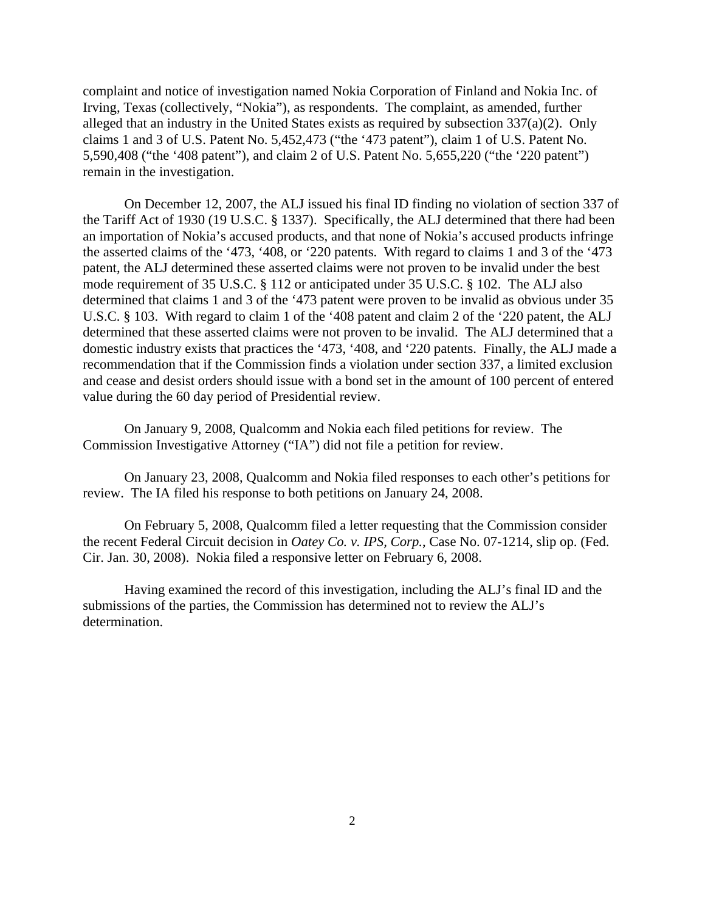complaint and notice of investigation named Nokia Corporation of Finland and Nokia Inc. of Irving, Texas (collectively, "Nokia"), as respondents. The complaint, as amended, further alleged that an industry in the United States exists as required by subsection 337(a)(2). Only claims 1 and 3 of U.S. Patent No. 5,452,473 ("the '473 patent"), claim 1 of U.S. Patent No. 5,590,408 ("the '408 patent"), and claim 2 of U.S. Patent No. 5,655,220 ("the '220 patent") remain in the investigation.

On December 12, 2007, the ALJ issued his final ID finding no violation of section 337 of the Tariff Act of 1930 (19 U.S.C. § 1337). Specifically, the ALJ determined that there had been an importation of Nokia's accused products, and that none of Nokia's accused products infringe the asserted claims of the '473, '408, or '220 patents. With regard to claims 1 and 3 of the '473 patent, the ALJ determined these asserted claims were not proven to be invalid under the best mode requirement of 35 U.S.C. § 112 or anticipated under 35 U.S.C. § 102. The ALJ also determined that claims 1 and 3 of the '473 patent were proven to be invalid as obvious under 35 U.S.C. § 103. With regard to claim 1 of the '408 patent and claim 2 of the '220 patent, the ALJ determined that these asserted claims were not proven to be invalid. The ALJ determined that a domestic industry exists that practices the '473, '408, and '220 patents. Finally, the ALJ made a recommendation that if the Commission finds a violation under section 337, a limited exclusion and cease and desist orders should issue with a bond set in the amount of 100 percent of entered value during the 60 day period of Presidential review.

On January 9, 2008, Qualcomm and Nokia each filed petitions for review. The Commission Investigative Attorney ("IA") did not file a petition for review.

On January 23, 2008, Qualcomm and Nokia filed responses to each other's petitions for review. The IA filed his response to both petitions on January 24, 2008.

On February 5, 2008, Qualcomm filed a letter requesting that the Commission consider the recent Federal Circuit decision in *Oatey Co. v. IPS, Corp.*, Case No. 07-1214, slip op. (Fed. Cir. Jan. 30, 2008). Nokia filed a responsive letter on February 6, 2008.

Having examined the record of this investigation, including the ALJ's final ID and the submissions of the parties, the Commission has determined not to review the ALJ's determination.